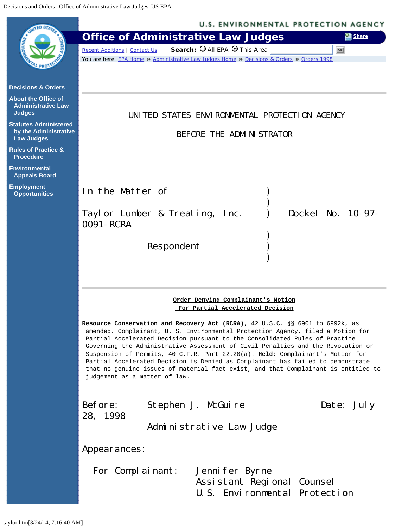<span id="page-0-0"></span>

|                                                                            | <b>U.S. ENVIRONMENTAL PROTECTION AGENCY</b>                                                                                                                                                                                                                                                                                                                                                                                                                                                                                                                                                                                     |
|----------------------------------------------------------------------------|---------------------------------------------------------------------------------------------------------------------------------------------------------------------------------------------------------------------------------------------------------------------------------------------------------------------------------------------------------------------------------------------------------------------------------------------------------------------------------------------------------------------------------------------------------------------------------------------------------------------------------|
|                                                                            | <b>Office of Administrative Law Judges</b><br>Share                                                                                                                                                                                                                                                                                                                                                                                                                                                                                                                                                                             |
|                                                                            | Search: O All EPA O This Area<br><b>Recent Additions   Contact Us</b><br>Go                                                                                                                                                                                                                                                                                                                                                                                                                                                                                                                                                     |
|                                                                            | You are here: EPA Home » Administrative Law Judges Home » Decisions & Orders » Orders 1998                                                                                                                                                                                                                                                                                                                                                                                                                                                                                                                                      |
| <b>Decisions &amp; Orders</b>                                              |                                                                                                                                                                                                                                                                                                                                                                                                                                                                                                                                                                                                                                 |
| <b>About the Office of</b><br><b>Administrative Law</b><br><b>Judges</b>   | UNITED STATES ENVIRONMENTAL PROTECTION AGENCY                                                                                                                                                                                                                                                                                                                                                                                                                                                                                                                                                                                   |
| <b>Statutes Administered</b><br>by the Administrative<br><b>Law Judges</b> | BEFORE THE ADMINISTRATOR                                                                                                                                                                                                                                                                                                                                                                                                                                                                                                                                                                                                        |
| <b>Rules of Practice &amp;</b><br><b>Procedure</b>                         |                                                                                                                                                                                                                                                                                                                                                                                                                                                                                                                                                                                                                                 |
| <b>Environmental</b><br><b>Appeals Board</b>                               |                                                                                                                                                                                                                                                                                                                                                                                                                                                                                                                                                                                                                                 |
| <b>Employment</b><br><b>Opportunities</b>                                  | In the Matter of                                                                                                                                                                                                                                                                                                                                                                                                                                                                                                                                                                                                                |
|                                                                            | Docket No. 10-97-<br>Taylor Lumber & Treating, Inc.<br>0091 - RCRA                                                                                                                                                                                                                                                                                                                                                                                                                                                                                                                                                              |
|                                                                            |                                                                                                                                                                                                                                                                                                                                                                                                                                                                                                                                                                                                                                 |
|                                                                            | Respondent                                                                                                                                                                                                                                                                                                                                                                                                                                                                                                                                                                                                                      |
|                                                                            |                                                                                                                                                                                                                                                                                                                                                                                                                                                                                                                                                                                                                                 |
|                                                                            |                                                                                                                                                                                                                                                                                                                                                                                                                                                                                                                                                                                                                                 |
|                                                                            | Order Denying Complainant's Motion<br>For Partial Accelerated Decision                                                                                                                                                                                                                                                                                                                                                                                                                                                                                                                                                          |
|                                                                            | Resource Conservation and Recovery Act (RCRA), 42 U.S.C. §§ 6901 to 6992k, as<br>amended. Complainant, U. S. Environmental Protection Agency, filed a Motion for<br>Partial Accelerated Decision pursuant to the Consolidated Rules of Practice<br>Governing the Administrative Assessment of Civil Penalties and the Revocation or<br>Suspension of Permits, 40 C.F.R. Part 22.20(a). Held: Complainant's Motion for<br>Partial Accelerated Decision is Denied as Complainant has failed to demonstrate<br>that no genuine issues of material fact exist, and that Complainant is entitled to<br>judgement as a matter of law. |
|                                                                            | Before:<br>Stephen J. McGuire<br>Date: July<br>28, 1998<br>Administrative Law Judge                                                                                                                                                                                                                                                                                                                                                                                                                                                                                                                                             |
|                                                                            |                                                                                                                                                                                                                                                                                                                                                                                                                                                                                                                                                                                                                                 |
|                                                                            | Appearances:                                                                                                                                                                                                                                                                                                                                                                                                                                                                                                                                                                                                                    |
|                                                                            | For Complainant:<br>Jennifer Byrne<br>Assistant Regional Counsel<br>U.S. Environmental Protection                                                                                                                                                                                                                                                                                                                                                                                                                                                                                                                               |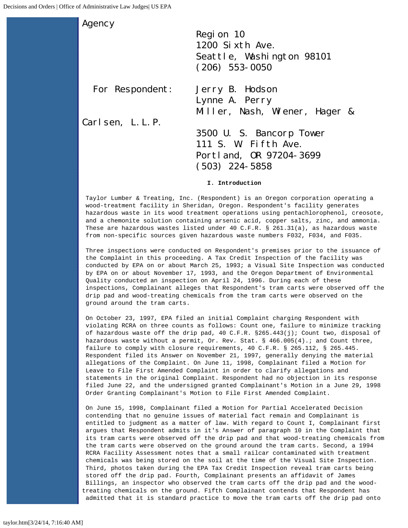Agency Region 10 1200 Sixth Ave. Seattle, Washington 98101 (206) 553-0050 For Respondent: Jerry B. Hodson Lynne A. Perry Miller, Nash, Wiener, Hager & Carlsen, L.L.P. 3500 U. S. Bancorp Tower 111 S. W. Fifth Ave. Portland, OR 97204-3699 (503) 224-5858

**I. Introduction**

Taylor Lumber & Treating, Inc. (Respondent) is an Oregon corporation operating a wood-treatment facility in Sheridan, Oregon. Respondent's facility generates hazardous waste in its wood treatment operations using pentachlorophenol, creosote, and a chemonite solution containing arsenic acid, copper salts, zinc, and ammonia. These are hazardous wastes listed under 40 C.F.R. § 261.31(a), as hazardous waste from non-specific sources given hazardous waste numbers F032, F034, and F035.

Three inspections were conducted on Respondent's premises prior to the issuance of the Complaint in this proceeding. A Tax Credit Inspection of the facility was conducted by EPA on or about March 25, 1993; a Visual Site Inspection was conducted by EPA on or about November 17, 1993, and the Oregon Department of Environmental Quality conducted an inspection on April 24, 1996. During each of these inspections, Complainant alleges that Respondent's tram carts were observed off the drip pad and wood-treating chemicals from the tram carts were observed on the ground around the tram carts.

On October 23, 1997, EPA filed an initial Complaint charging Respondent with violating RCRA on three counts as follows: Count one, failure to minimize tracking of hazardous waste off the drip pad, 40 C.F.R. §265.443(j); Count two, disposal of hazardous waste without a permit, Or. Rev. Stat. § 466.005(4).; and Count three, failure to comply with closure requirements, 40 C.F.R. § 265.112, § 265.445. Respondent filed its Answer on November 21, 1997, generally denying the material allegations of the Complaint. On June 11, 1998, Complainant filed a Motion for Leave to File First Amended Complaint in order to clarify allegations and statements in the original Complaint. Respondent had no objection in its response filed June 22, and the undersigned granted Complainant's Motion in a June 29, 1998 Order Granting Complainant's Motion to File First Amended Complaint.

On June 15, 1998, Complainant filed a Motion for Partial Accelerated Decision contending that no genuine issues of material fact remain and Complainant is entitled to judgment as a matter of law. With regard to Count I, Complainant first argues that Respondent admits in it's Answer of paragraph 10 in the Complaint that its tram carts were observed off the drip pad and that wood-treating chemicals from the tram carts were observed on the ground around the tram carts. Second, a 1994 RCRA Facility Assessment notes that a small railcar contaminated with treatment chemicals was being stored on the soil at the time of the Visual Site Inspection. Third, photos taken during the EPA Tax Credit Inspection reveal tram carts being stored off the drip pad. Fourth, Complainant presents an affidavit of James Billings, an inspector who observed the tram carts off the drip pad and the woodtreating chemicals on the ground. Fifth Complainant contends that Respondent has admitted that it is standard practice to move the tram carts off the drip pad onto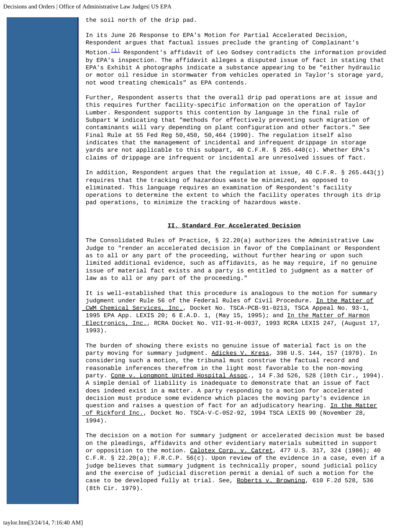the soil north of the drip pad.

In its June 26 Response to EPA's Motion for Partial Accelerated Decision, Respondent argues that factual issues preclude the granting of Complainant's

Motion. $(1)$  Respondent's affidavit of Leo Godsey contradicts the information provided by EPA's inspection. The affidavit alleges a disputed issue of fact in stating that EPA's Exhibit A photographs indicate a substance appearing to be "either hydraulic or motor oil residue in stormwater from vehicles operated in Taylor's storage yard, not wood treating chemicals" as EPA contends.

Further, Respondent asserts that the overall drip pad operations are at issue and this requires further facility-specific information on the operation of Taylor Lumber. Respondent supports this contention by language in the final rule of Subpart W indicating that "methods for effectively preventing such migration of contaminants will vary depending on plant configuration and other factors." See Final Rule at 55 Fed Reg 50,450, 50,464 (1990). The regulation itself also indicates that the management of incidental and infrequent drippage in storage yards are not applicable to this subpart, 40 C.F.R. § 265.440(c). Whether EPA's claims of drippage are infrequent or incidental are unresolved issues of fact.

In addition, Respondent argues that the regulation at issue, 40 C.F.R. § 265.443(j) requires that the tracking of hazardous waste be minimized, as opposed to eliminated. This language requires an examination of Respondent's facility operations to determine the extent to which the facility operates through its drip pad operations, to minimize the tracking of hazardous waste.

## **II. Standard For Accelerated Decision**

The Consolidated Rules of Practice, § 22.20(a) authorizes the Administrative Law Judge to "render an accelerated decision in favor of the Complainant or Respondent as to all or any part of the proceeding, without further hearing or upon such limited additional evidence, such as affidavits, as he may require, if no genuine issue of material fact exists and a party is entitled to judgment as a matter of law as to all or any part of the proceeding."

It is well-established that this procedure is analogous to the motion for summary judgment under Rule 56 of the Federal Rules of Civil Procedure. In the Matter of CWM Chemical Services, Inc., Docket No. TSCA-PCB-91-0213, TSCA Appeal No. 93-1, 1995 EPA App. LEXIS 20; 6 E.A.D. 1, (May 15, 1995); and In the Matter of Harmon Electronics, Inc., RCRA Docket No. VII-91-H-0037, 1993 RCRA LEXIS 247, (August 17, 1993).

The burden of showing there exists no genuine issue of material fact is on the party moving for summary judgment. Adickes V. Kress, 398 U.S. 144, 157 (1970). In considering such a motion, the tribunal must construe the factual record and reasonable inferences therefrom in the light most favorable to the non-moving party. Cone v. Longmont United Hospital Assoc., 14 F.3d 526, 528 (l0th Cir., 1994). A simple denial of liability is inadequate to demonstrate that an issue of fact does indeed exist in a matter. A party responding to a motion for accelerated decision must produce some evidence which places the moving party's evidence in question and raises a question of fact for an adjudicatory hearing. In the Matter of Rickford Inc., Docket No. TSCA-V-C-052-92, 1994 TSCA LEXIS 90 (November 28, 1994).

The decision on a motion for summary judgment or accelerated decision must be based on the pleadings, affidavits and other evidentiary materials submitted in support or opposition to the motion. Calotex Corp. v. Catret, 477 U.S. 317, 324 (1986); 40 C.F.R. § 22.20(a); F.R.C.P. 56(c). Upon review of the evidence in a case, even if a judge believes that summary judgment is technically proper, sound judicial policy and the exercise of judicial discretion permit a denial of such a motion for the case to be developed fully at trial. See, Roberts v. Browning, 610 F.2d 528, 536 (8th Cir. 1979).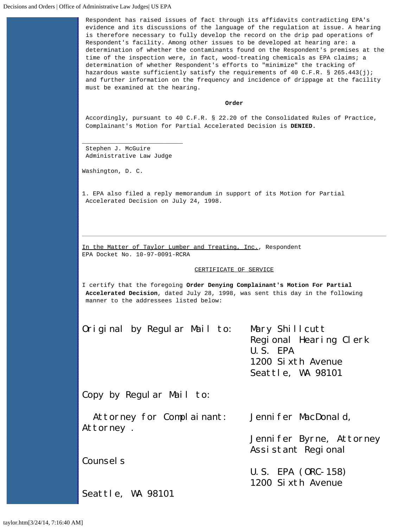Respondent has raised issues of fact through its affidavits contradicting EPA's evidence and its discussions of the language of the regulation at issue. A hearing is therefore necessary to fully develop the record on the drip pad operations of Respondent's facility. Among other issues to be developed at hearing are: a determination of whether the contaminants found on the Respondent's premises at the time of the inspection were, in fact, wood-treating chemicals as EPA claims; a determination of whether Respondent's efforts to "minimize" the tracking of hazardous waste sufficiently satisfy the requirements of 40 C.F.R. § 265.443(j); and further information on the frequency and incidence of drippage at the facility must be examined at the hearing.

## **Order**

Accordingly, pursuant to 40 C.F.R. § 22.20 of the Consolidated Rules of Practice, Complainant's Motion for Partial Accelerated Decision is **DENIED.**

Stephen J. McGuire Administrative Law Judge

\_\_\_\_\_\_\_\_\_\_\_\_\_\_\_\_\_\_\_\_\_\_\_\_\_\_\_\_

Washington, D. C.

<span id="page-3-0"></span>1. EPA also filed a reply memorandum in support of its Motion for Partial Accelerated Decision on July 24, 1998.

In the Matter of Taylor Lumber and Treating, Inc., Respondent EPA Docket No. 10-97-0091-RCRA

## CERTIFICATE OF SERVICE

I certify that the foregoing **Order Denying Complainant's Motion For Partial Accelerated Decision**, dated July 28, 1998, was sent this day in the following manner to the addressees listed below:

Original by Regular Mail to: Mary Shillcutt

 Regional Hearing Clerk U.S. EPA 1200 Sixth Avenue Seattle, WA 98101

Jennifer Byrne, Attorney

Assistant Regional

 U.S. EPA (ORC-158) 1200 Sixth Avenue

Copy by Regular Mail to:

 Attorney for Complainant: Jennifer MacDonald, Attorney .

Counsel<sub>s</sub>

Seattle, WA 98101